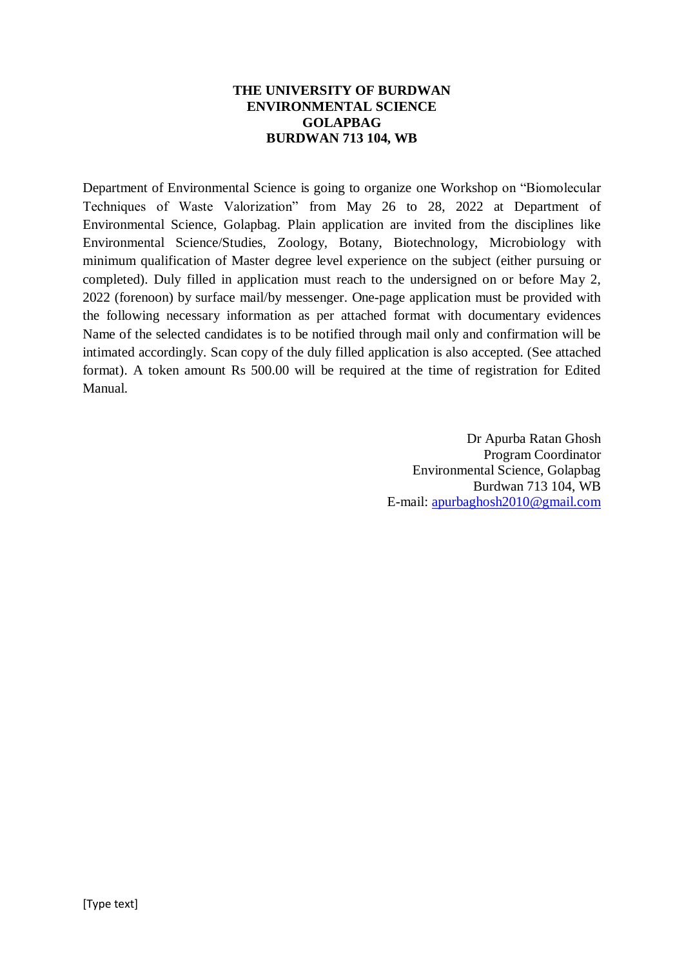#### **THE UNIVERSITY OF BURDWAN ENVIRONMENTAL SCIENCE GOLAPBAG BURDWAN 713 104, WB**

Department of Environmental Science is going to organize one Workshop on "Biomolecular Techniques of Waste Valorization" from May 26 to 28, 2022 at Department of Environmental Science, Golapbag. Plain application are invited from the disciplines like Environmental Science/Studies, Zoology, Botany, Biotechnology, Microbiology with minimum qualification of Master degree level experience on the subject (either pursuing or completed). Duly filled in application must reach to the undersigned on or before May 2, 2022 (forenoon) by surface mail/by messenger. One-page application must be provided with the following necessary information as per attached format with documentary evidences Name of the selected candidates is to be notified through mail only and confirmation will be intimated accordingly. Scan copy of the duly filled application is also accepted. (See attached format). A token amount Rs 500.00 will be required at the time of registration for Edited Manual.

> Dr Apurba Ratan Ghosh Program Coordinator Environmental Science, Golapbag Burdwan 713 104, WB E-mail: [apurbaghosh2010@gmail.com](mailto:apurbaghosh2010@gmail.com)